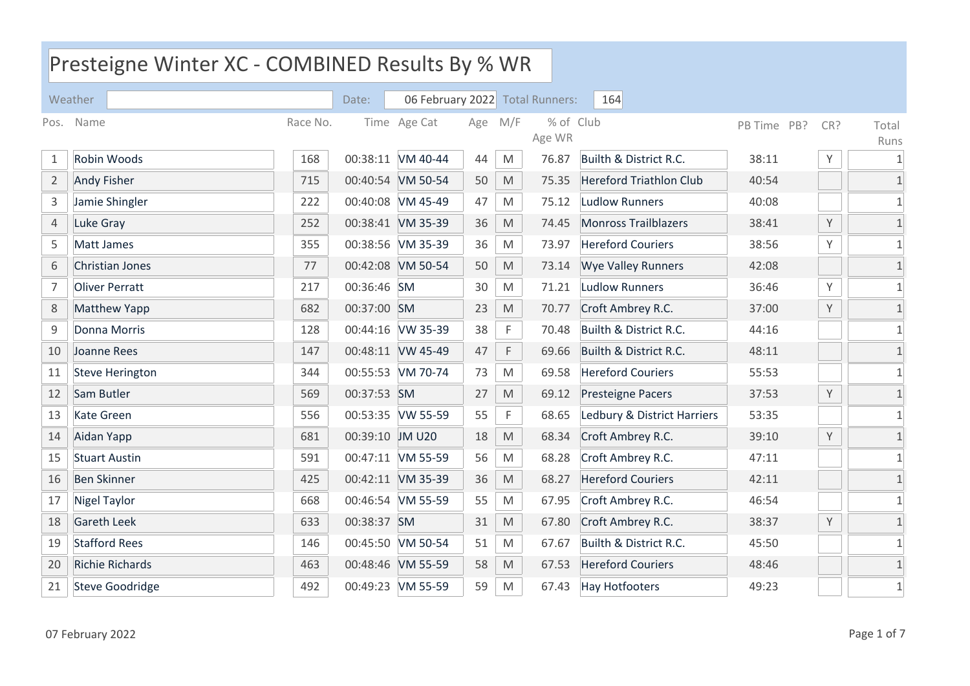|                | Presteigne Winter XC - COMBINED Results By % WR |          |                 |                                 |     |                                                                                                            |                     |                                |             |     |                            |  |  |
|----------------|-------------------------------------------------|----------|-----------------|---------------------------------|-----|------------------------------------------------------------------------------------------------------------|---------------------|--------------------------------|-------------|-----|----------------------------|--|--|
|                | Weather                                         |          | Date:           | 06 February 2022 Total Runners: |     |                                                                                                            |                     | 164                            |             |     |                            |  |  |
|                | Pos. Name                                       | Race No. |                 | Time Age Cat                    | Age | M/F                                                                                                        | % of Club<br>Age WR |                                | PB Time PB? | CR? | Total<br>Runs              |  |  |
| 1              | Robin Woods                                     | 168      |                 | 00:38:11 VM 40-44               | 44  | M                                                                                                          | 76.87               | Builth & District R.C.         | 38:11       | Υ   | $\mathbf{1}$               |  |  |
| $\overline{2}$ | <b>Andy Fisher</b>                              | 715      |                 | 00:40:54 VM 50-54               | 50  | M                                                                                                          | 75.35               | <b>Hereford Triathlon Club</b> | 40:54       |     | $\mathbf{1}$               |  |  |
| $\mathsf{3}$   | Jamie Shingler                                  | 222      |                 | 00:40:08 VM 45-49               | 47  | M                                                                                                          | 75.12               | <b>Ludlow Runners</b>          | 40:08       |     | $\mathbf{1}$               |  |  |
| $\overline{4}$ | Luke Gray                                       | 252      |                 | 00:38:41 VM 35-39               | 36  | $\mathsf{M}% _{T}=\mathsf{M}_{T}\!\left( a,b\right) ,\ \mathsf{M}_{T}=\mathsf{M}_{T}\!\left( a,b\right) ,$ | 74.45               | <b>Monross Trailblazers</b>    | 38:41       | Υ   | $\mathbf{1}$               |  |  |
| 5              | Matt James                                      | 355      |                 | 00:38:56 VM 35-39               | 36  | M                                                                                                          | 73.97               | <b>Hereford Couriers</b>       | 38:56       | Υ   | $\mathbf{1}$               |  |  |
| 6              | Christian Jones                                 | 77       |                 | 00:42:08 VM 50-54               | 50  | M                                                                                                          | 73.14               | <b>Wye Valley Runners</b>      | 42:08       |     | $\mathbf{1}$               |  |  |
| 7              | <b>Oliver Perratt</b>                           | 217      | 00:36:46 SM     |                                 | 30  | M                                                                                                          | 71.21               | <b>Ludlow Runners</b>          | 36:46       | Υ   | $\mathbf{1}$               |  |  |
| 8              | Matthew Yapp                                    | 682      | 00:37:00 SM     |                                 | 23  | $\mathsf{M}% _{T}=\mathsf{M}_{T}\!\left( a,b\right) ,\ \mathsf{M}_{T}=\mathsf{M}_{T}\!\left( a,b\right) ,$ | 70.77               | Croft Ambrey R.C.              | 37:00       | Υ   | $\mathbf 1$                |  |  |
| $\mathsf 9$    | Donna Morris                                    | 128      |                 | 00:44:16 VW 35-39               | 38  | F                                                                                                          | 70.48               | Builth & District R.C.         | 44:16       |     | $\mathbf{1}$               |  |  |
| 10             | Joanne Rees                                     | 147      |                 | 00:48:11 VW 45-49               | 47  | F                                                                                                          | 69.66               | Builth & District R.C.         | 48:11       |     | $\mathbf{1}$               |  |  |
| 11             | <b>Steve Herington</b>                          | 344      |                 | 00:55:53 VM 70-74               | 73  | M                                                                                                          | 69.58               | <b>Hereford Couriers</b>       | 55:53       |     | $\mathbf{1}$               |  |  |
| 12             | Sam Butler                                      | 569      | 00:37:53 SM     |                                 | 27  | $\mathsf{M}% _{T}=\mathsf{M}_{T}\!\left( a,b\right) ,\ \mathsf{M}_{T}=\mathsf{M}_{T}\!\left( a,b\right) ,$ | 69.12               | Presteigne Pacers              | 37:53       | Υ   | $\mathbf{1}$               |  |  |
| 13             | <b>Kate Green</b>                               | 556      |                 | 00:53:35 VW 55-59               | 55  | $\mathsf F$                                                                                                | 68.65               | Ledbury & District Harriers    | 53:35       |     | $\mathbf{1}$               |  |  |
| 14             | Aidan Yapp                                      | 681      | 00:39:10 JM U20 |                                 | 18  | $\mathsf{M}% _{T}=\mathsf{M}_{T}\!\left( a,b\right) ,\ \mathsf{M}_{T}=\mathsf{M}_{T}\!\left( a,b\right) ,$ | 68.34               | Croft Ambrey R.C.              | 39:10       | Υ   | $\mathbf{1}$               |  |  |
| 15             | <b>Stuart Austin</b>                            | 591      |                 | 00:47:11 VM 55-59               | 56  | M                                                                                                          | 68.28               | Croft Ambrey R.C.              | 47:11       |     | $\mathbf{1}$               |  |  |
| 16             | <b>Ben Skinner</b>                              | 425      |                 | 00:42:11 VM 35-39               | 36  | M                                                                                                          | 68.27               | <b>Hereford Couriers</b>       | 42:11       |     | $\ensuremath{\mathbbm{1}}$ |  |  |
| 17             | <b>Nigel Taylor</b>                             | 668      |                 | 00:46:54 VM 55-59               | 55  | M                                                                                                          | 67.95               | Croft Ambrey R.C.              | 46:54       |     | $\mathbf{1}$               |  |  |
| 18             | <b>Gareth Leek</b>                              | 633      | 00:38:37 SM     |                                 | 31  | M                                                                                                          | 67.80               | Croft Ambrey R.C.              | 38:37       | Υ   | $\mathbf{1}$               |  |  |
| 19             | <b>Stafford Rees</b>                            | 146      |                 | 00:45:50 VM 50-54               | 51  | M                                                                                                          | 67.67               | Builth & District R.C.         | 45:50       |     | $\mathbf{1}$               |  |  |
| 20             | Richie Richards                                 | 463      |                 | 00:48:46 VM 55-59               | 58  | $\mathsf{M}% _{T}=\mathsf{M}_{T}\!\left( a,b\right) ,\ \mathsf{M}_{T}=\mathsf{M}_{T}\!\left( a,b\right) ,$ | 67.53               | <b>Hereford Couriers</b>       | 48:46       |     | $\mathbf 1$                |  |  |
| 21             | <b>Steve Goodridge</b>                          | 492      |                 | 00:49:23 VM 55-59               | 59  | M                                                                                                          | 67.43               | <b>Hay Hotfooters</b>          | 49:23       |     | $\mathbf{1}$               |  |  |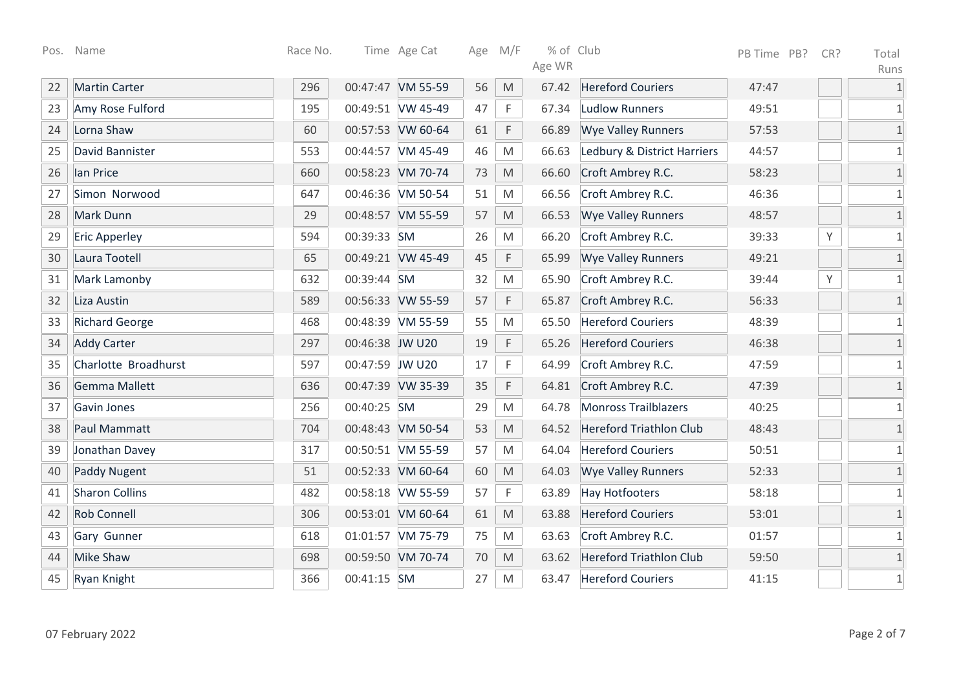|    | Pos. Name             | Race No. |                 | Time Age Cat      |    | Age M/F                                                                                                    | % of Club |                                | PB Time PB? | CR? | Total        |
|----|-----------------------|----------|-----------------|-------------------|----|------------------------------------------------------------------------------------------------------------|-----------|--------------------------------|-------------|-----|--------------|
|    |                       |          |                 |                   |    |                                                                                                            | Age WR    |                                |             |     | Runs         |
| 22 | <b>Martin Carter</b>  | 296      |                 | 00:47:47 VM 55-59 | 56 | M                                                                                                          | 67.42     | <b>Hereford Couriers</b>       | 47:47       |     |              |
| 23 | Amy Rose Fulford      | 195      |                 | 00:49:51 VW 45-49 | 47 | F                                                                                                          | 67.34     | <b>Ludlow Runners</b>          | 49:51       |     |              |
| 24 | Lorna Shaw            | 60       |                 | 00:57:53 VW 60-64 | 61 | F                                                                                                          | 66.89     | <b>Wye Valley Runners</b>      | 57:53       |     | 1            |
| 25 | David Bannister       | 553      |                 | 00:44:57 VM 45-49 | 46 | ${\sf M}$                                                                                                  | 66.63     | Ledbury & District Harriers    | 44:57       |     |              |
| 26 | lan Price             | 660      |                 | 00:58:23 VM 70-74 | 73 | $\mathsf{M}% _{T}=\mathsf{M}_{T}\!\left( a,b\right) ,\ \mathsf{M}_{T}=\mathsf{M}_{T}\!\left( a,b\right) ,$ | 66.60     | Croft Ambrey R.C.              | 58:23       |     | $\mathbf{1}$ |
| 27 | Simon Norwood         | 647      |                 | 00:46:36 VM 50-54 | 51 | M                                                                                                          | 66.56     | Croft Ambrey R.C.              | 46:36       |     | $\mathbf{1}$ |
| 28 | <b>Mark Dunn</b>      | 29       |                 | 00:48:57 VM 55-59 | 57 | M                                                                                                          | 66.53     | <b>Wye Valley Runners</b>      | 48:57       |     | $\mathbf{1}$ |
| 29 | <b>Eric Apperley</b>  | 594      | 00:39:33 SM     |                   | 26 | M                                                                                                          | 66.20     | Croft Ambrey R.C.              | 39:33       | Y   | $\mathbf{1}$ |
| 30 | Laura Tootell         | 65       |                 | 00:49:21 VW 45-49 | 45 | F                                                                                                          | 65.99     | <b>Wye Valley Runners</b>      | 49:21       |     | 1            |
| 31 | Mark Lamonby          | 632      | 00:39:44 SM     |                   | 32 | $\mathsf{M}% _{T}=\mathsf{M}_{T}\!\left( a,b\right) ,\ \mathsf{M}_{T}=\mathsf{M}_{T}\!\left( a,b\right) ,$ | 65.90     | Croft Ambrey R.C.              | 39:44       | Y   | 1            |
| 32 | Liza Austin           | 589      |                 | 00:56:33 VW 55-59 | 57 | $\mathsf F$                                                                                                | 65.87     | Croft Ambrey R.C.              | 56:33       |     |              |
| 33 | <b>Richard George</b> | 468      |                 | 00:48:39 VM 55-59 | 55 | M                                                                                                          | 65.50     | <b>Hereford Couriers</b>       | 48:39       |     | 1            |
| 34 | <b>Addy Carter</b>    | 297      | 00:46:38 JW U20 |                   | 19 | F                                                                                                          | 65.26     | <b>Hereford Couriers</b>       | 46:38       |     | 1            |
| 35 | Charlotte Broadhurst  | 597      | 00:47:59 JW U20 |                   | 17 | F                                                                                                          | 64.99     | Croft Ambrey R.C.              | 47:59       |     | 1            |
| 36 | Gemma Mallett         | 636      |                 | 00:47:39 VW 35-39 | 35 | F                                                                                                          | 64.81     | Croft Ambrey R.C.              | 47:39       |     |              |
| 37 | Gavin Jones           | 256      | 00:40:25 SM     |                   | 29 | M                                                                                                          | 64.78     | <b>Monross Trailblazers</b>    | 40:25       |     |              |
| 38 | Paul Mammatt          | 704      |                 | 00:48:43 VM 50-54 | 53 | $\mathsf{M}% _{T}=\mathsf{M}_{T}\!\left( a,b\right) ,\ \mathsf{M}_{T}=\mathsf{M}_{T}\!\left( a,b\right) ,$ | 64.52     | <b>Hereford Triathlon Club</b> | 48:43       |     |              |
| 39 | Jonathan Davey        | 317      |                 | 00:50:51 VM 55-59 | 57 | M                                                                                                          | 64.04     | <b>Hereford Couriers</b>       | 50:51       |     | 1            |
| 40 | <b>Paddy Nugent</b>   | 51       |                 | 00:52:33 VM 60-64 | 60 | $\mathsf{M}% _{T}=\mathsf{M}_{T}\!\left( a,b\right) ,\ \mathsf{M}_{T}=\mathsf{M}_{T}\!\left( a,b\right) ,$ | 64.03     | <b>Wye Valley Runners</b>      | 52:33       |     | 1            |
| 41 | <b>Sharon Collins</b> | 482      |                 | 00:58:18 VW 55-59 | 57 | F                                                                                                          | 63.89     | <b>Hay Hotfooters</b>          | 58:18       |     | $\mathbf{1}$ |
| 42 | <b>Rob Connell</b>    | 306      |                 | 00:53:01 VM 60-64 | 61 | $\mathsf{M}% _{T}=\mathsf{M}_{T}\!\left( a,b\right) ,\ \mathsf{M}_{T}=\mathsf{M}_{T}\!\left( a,b\right) ,$ | 63.88     | <b>Hereford Couriers</b>       | 53:01       |     | $\mathbf{1}$ |
| 43 | Gary Gunner           | 618      |                 | 01:01:57 VM 75-79 | 75 | $\mathsf{M}% _{T}=\mathsf{M}_{T}\!\left( a,b\right) ,\ \mathsf{M}_{T}=\mathsf{M}_{T}\!\left( a,b\right) ,$ | 63.63     | Croft Ambrey R.C.              | 01:57       |     | 1            |
| 44 | <b>Mike Shaw</b>      | 698      |                 | 00:59:50 VM 70-74 | 70 | $\mathsf{M}% _{T}=\mathsf{M}_{T}\!\left( a,b\right) ,\ \mathsf{M}_{T}=\mathsf{M}_{T}\!\left( a,b\right) ,$ | 63.62     | <b>Hereford Triathlon Club</b> | 59:50       |     |              |
| 45 | Ryan Knight           | 366      | 00:41:15 SM     |                   | 27 | ${\sf M}$                                                                                                  | 63.47     | <b>Hereford Couriers</b>       | 41:15       |     | $\mathbf{1}$ |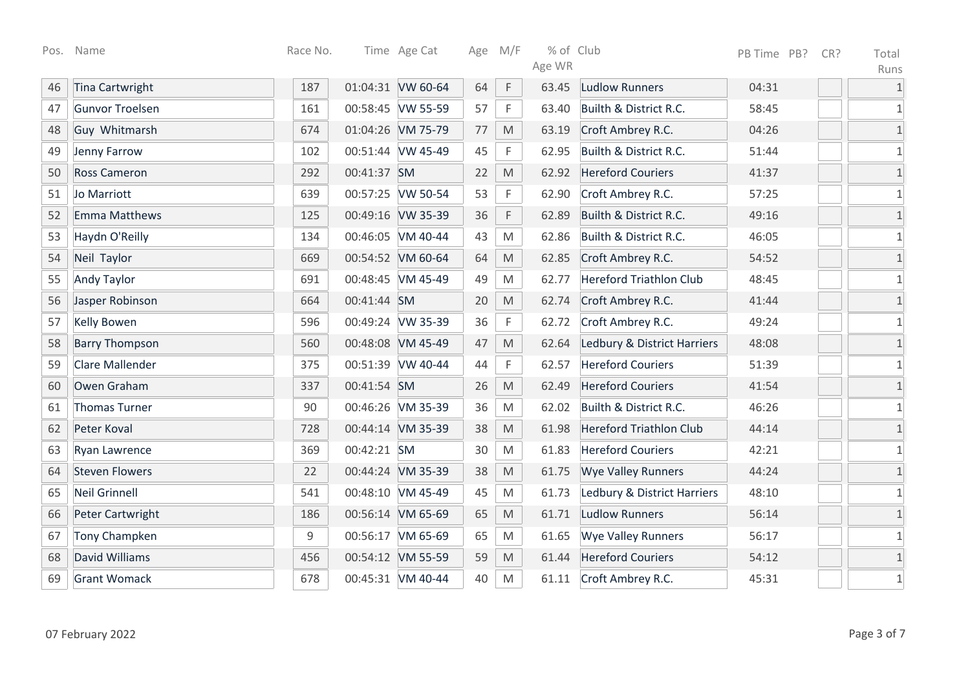|    | Pos. Name              | Race No. |             | Time Age Cat      |    | Age M/F                                                                                                    | % of Club<br>Age WR |                                | PB Time PB? | CR? | Total                |
|----|------------------------|----------|-------------|-------------------|----|------------------------------------------------------------------------------------------------------------|---------------------|--------------------------------|-------------|-----|----------------------|
| 46 | Tina Cartwright        | 187      |             | 01:04:31 VW 60-64 | 64 | $\mathsf F$                                                                                                | 63.45               | <b>Ludlow Runners</b>          | 04:31       |     | Runs<br>$\mathbf{1}$ |
| 47 | Gunvor Troelsen        | 161      |             | 00:58:45 VW 55-59 | 57 | F                                                                                                          | 63.40               | Builth & District R.C.         | 58:45       |     | 1                    |
| 48 | Guy Whitmarsh          | 674      |             | 01:04:26 VM 75-79 | 77 | M                                                                                                          | 63.19               | Croft Ambrey R.C.              | 04:26       |     | $\mathbf{1}$         |
| 49 | Jenny Farrow           | 102      |             | 00:51:44 VW 45-49 | 45 | F                                                                                                          | 62.95               | Builth & District R.C.         | 51:44       |     | $\mathbf{1}$         |
| 50 | <b>Ross Cameron</b>    | 292      | 00:41:37 SM |                   | 22 | M                                                                                                          | 62.92               | <b>Hereford Couriers</b>       | 41:37       |     | $\mathbf{1}$         |
| 51 | Jo Marriott            | 639      |             | 00:57:25 VW 50-54 | 53 | $\mathsf F$                                                                                                | 62.90               | Croft Ambrey R.C.              | 57:25       |     | $\mathbf{1}$         |
| 52 | <b>Emma Matthews</b>   | 125      |             | 00:49:16 VW 35-39 | 36 | $\mathsf F$                                                                                                | 62.89               | Builth & District R.C.         | 49:16       |     | $\mathbf{1}$         |
| 53 | Haydn O'Reilly         | 134      |             | 00:46:05 VM 40-44 | 43 | $\mathsf{M}% _{T}=\mathsf{M}_{T}\!\left( a,b\right) ,\ \mathsf{M}_{T}=\mathsf{M}_{T}\!\left( a,b\right) ,$ | 62.86               | Builth & District R.C.         | 46:05       |     | $\mathbf{1}$         |
| 54 | Neil Taylor            | 669      |             | 00:54:52 VM 60-64 | 64 | M                                                                                                          | 62.85               | Croft Ambrey R.C.              | 54:52       |     | $\mathbf{1}$         |
| 55 | <b>Andy Taylor</b>     | 691      |             | 00:48:45 VM 45-49 | 49 | M                                                                                                          | 62.77               | <b>Hereford Triathlon Club</b> | 48:45       |     | $\mathbf{1}$         |
| 56 | Jasper Robinson        | 664      | 00:41:44 SM |                   | 20 | M                                                                                                          | 62.74               | Croft Ambrey R.C.              | 41:44       |     | $\mathbf{1}$         |
| 57 | <b>Kelly Bowen</b>     | 596      |             | 00:49:24 VW 35-39 | 36 | $\mathsf F$                                                                                                | 62.72               | Croft Ambrey R.C.              | 49:24       |     | $\mathbf{1}$         |
| 58 | <b>Barry Thompson</b>  | 560      |             | 00:48:08 VM 45-49 | 47 | M                                                                                                          | 62.64               | Ledbury & District Harriers    | 48:08       |     | $\mathbf{1}$         |
| 59 | <b>Clare Mallender</b> | 375      |             | 00:51:39 VW 40-44 | 44 | F                                                                                                          | 62.57               | <b>Hereford Couriers</b>       | 51:39       |     | 1                    |
| 60 | Owen Graham            | 337      | 00:41:54 SM |                   | 26 | M                                                                                                          | 62.49               | <b>Hereford Couriers</b>       | 41:54       |     | $\mathbf{1}$         |
| 61 | <b>Thomas Turner</b>   | 90       |             | 00:46:26 VM 35-39 | 36 | M                                                                                                          | 62.02               | Builth & District R.C.         | 46:26       |     | $\mathbf{1}$         |
| 62 | Peter Koval            | 728      |             | 00:44:14 VM 35-39 | 38 | M                                                                                                          | 61.98               | <b>Hereford Triathlon Club</b> | 44:14       |     | $\mathbf{1}$         |
| 63 | Ryan Lawrence          | 369      | 00:42:21 SM |                   | 30 | M                                                                                                          | 61.83               | <b>Hereford Couriers</b>       | 42:21       |     | $\mathbf{1}$         |
| 64 | <b>Steven Flowers</b>  | 22       |             | 00:44:24 VM 35-39 | 38 | M                                                                                                          | 61.75               | <b>Wye Valley Runners</b>      | 44:24       |     | $\mathbf{1}$         |
| 65 | <b>Neil Grinnell</b>   | 541      |             | 00:48:10 VM 45-49 | 45 | M                                                                                                          | 61.73               | Ledbury & District Harriers    | 48:10       |     | $\mathbf{1}$         |
| 66 | Peter Cartwright       | 186      |             | 00:56:14 VM 65-69 | 65 | M                                                                                                          | 61.71               | <b>Ludlow Runners</b>          | 56:14       |     | $\mathbf{1}$         |
| 67 | <b>Tony Champken</b>   | 9        |             | 00:56:17 VM 65-69 | 65 | $\mathsf{M}% _{T}=\mathsf{M}_{T}\!\left( a,b\right) ,\ \mathsf{M}_{T}=\mathsf{M}_{T}\!\left( a,b\right) ,$ | 61.65               | <b>Wye Valley Runners</b>      | 56:17       |     | $\mathbf 1$          |
| 68 | David Williams         | 456      |             | 00:54:12 VM 55-59 | 59 | $\mathsf{M}% _{T}=\mathsf{M}_{T}\!\left( a,b\right) ,\ \mathsf{M}_{T}=\mathsf{M}_{T}\!\left( a,b\right) ,$ | 61.44               | <b>Hereford Couriers</b>       | 54:12       |     | $\mathbf{1}$         |
| 69 | <b>Grant Womack</b>    | 678      |             | 00:45:31 VM 40-44 | 40 | M                                                                                                          | 61.11               | Croft Ambrey R.C.              | 45:31       |     | $\mathbf{1}$         |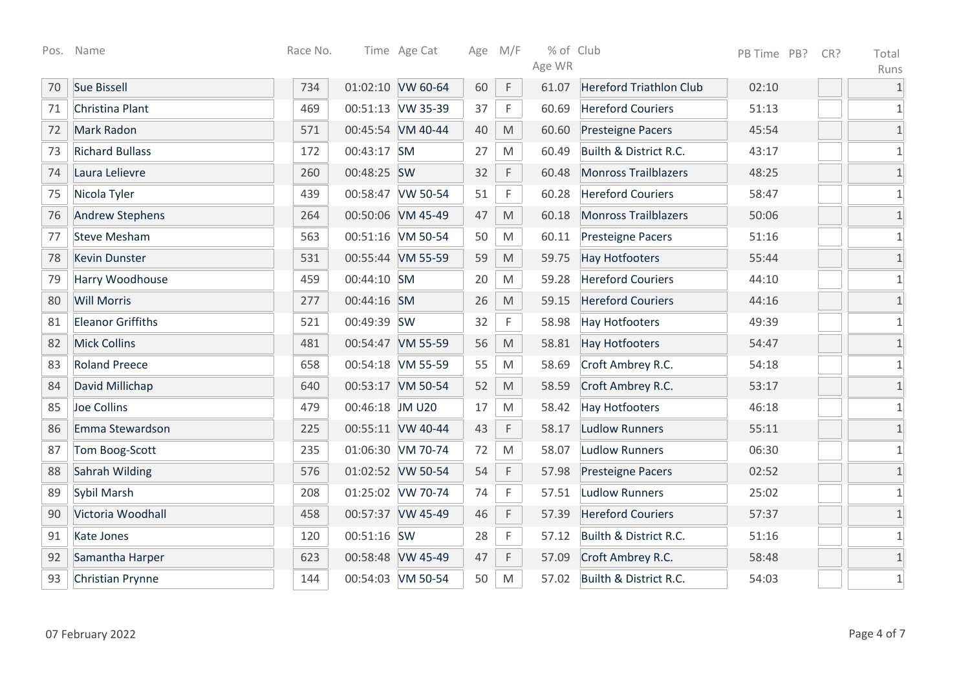| Pos. | Name                     | Race No. |                 | Time Age Cat      |    | Age M/F                                                                                                    | % of Club |                                | PB Time PB? | CR? | Total        |
|------|--------------------------|----------|-----------------|-------------------|----|------------------------------------------------------------------------------------------------------------|-----------|--------------------------------|-------------|-----|--------------|
|      |                          |          |                 |                   |    |                                                                                                            | Age WR    |                                |             |     | Runs         |
| 70   | Sue Bissell              | 734      |                 | 01:02:10 VW 60-64 | 60 | $\mathsf F$                                                                                                | 61.07     | <b>Hereford Triathlon Club</b> | 02:10       |     | $1\,$        |
| 71   | Christina Plant          | 469      |                 | 00:51:13 VW 35-39 | 37 | F                                                                                                          | 60.69     | <b>Hereford Couriers</b>       | 51:13       |     | 1            |
| 72   | Mark Radon               | 571      |                 | 00:45:54 VM 40-44 | 40 | M                                                                                                          | 60.60     | Presteigne Pacers              | 45:54       |     | $1\,$        |
| 73   | <b>Richard Bullass</b>   | 172      | 00:43:17 SM     |                   | 27 | $\mathsf{M}% _{T}=\mathsf{M}_{T}\!\left( a,b\right) ,\ \mathsf{M}_{T}=\mathsf{M}_{T}\!\left( a,b\right) ,$ | 60.49     | Builth & District R.C.         | 43:17       |     | $\mathbf{1}$ |
| 74   | Laura Lelievre           | 260      | 00:48:25 SW     |                   | 32 | $\mathsf F$                                                                                                | 60.48     | <b>Monross Trailblazers</b>    | 48:25       |     | $\mathbf{1}$ |
| 75   | Nicola Tyler             | 439      |                 | 00:58:47 VW 50-54 | 51 | $\mathsf F$                                                                                                | 60.28     | <b>Hereford Couriers</b>       | 58:47       |     | $\mathbf{1}$ |
| 76   | <b>Andrew Stephens</b>   | 264      |                 | 00:50:06 VM 45-49 | 47 | $\mathsf{M}% _{T}=\mathsf{M}_{T}\!\left( a,b\right) ,\ \mathsf{M}_{T}=\mathsf{M}_{T}\!\left( a,b\right) ,$ | 60.18     | <b>Monross Trailblazers</b>    | 50:06       |     | $1\,$        |
| 77   | <b>Steve Mesham</b>      | 563      |                 | 00:51:16 VM 50-54 | 50 | M                                                                                                          | 60.11     | <b>Presteigne Pacers</b>       | 51:16       |     | $\mathbf{1}$ |
| 78   | <b>Kevin Dunster</b>     | 531      |                 | 00:55:44 VM 55-59 | 59 | $\mathsf{M}% _{T}=\mathsf{M}_{T}\!\left( a,b\right) ,\ \mathsf{M}_{T}=\mathsf{M}_{T}\!\left( a,b\right) ,$ | 59.75     | <b>Hay Hotfooters</b>          | 55:44       |     | $1\,$        |
| 79   | Harry Woodhouse          | 459      | 00:44:10 SM     |                   | 20 | $\mathsf{M}% _{T}=\mathsf{M}_{T}\!\left( a,b\right) ,\ \mathsf{M}_{T}=\mathsf{M}_{T}\!\left( a,b\right) ,$ | 59.28     | <b>Hereford Couriers</b>       | 44:10       |     | $\mathbf{1}$ |
| 80   | <b>Will Morris</b>       | 277      | 00:44:16 SM     |                   | 26 | $\mathsf{M}% _{T}=\mathsf{M}_{T}\!\left( a,b\right) ,\ \mathsf{M}_{T}=\mathsf{M}_{T}\!\left( a,b\right) ,$ | 59.15     | <b>Hereford Couriers</b>       | 44:16       |     | $\mathbf{1}$ |
| 81   | <b>Eleanor Griffiths</b> | 521      | 00:49:39 SW     |                   | 32 | F                                                                                                          | 58.98     | <b>Hay Hotfooters</b>          | 49:39       |     | $\mathbf{1}$ |
| 82   | <b>Mick Collins</b>      | 481      |                 | 00:54:47 VM 55-59 | 56 | M                                                                                                          | 58.81     | <b>Hay Hotfooters</b>          | 54:47       |     | $1\,$        |
| 83   | <b>Roland Preece</b>     | 658      |                 | 00:54:18 VM 55-59 | 55 | ${\sf M}$                                                                                                  | 58.69     | Croft Ambrey R.C.              | 54:18       |     | $\mathbf{1}$ |
| 84   | David Millichap          | 640      |                 | 00:53:17 VM 50-54 | 52 | M                                                                                                          | 58.59     | Croft Ambrey R.C.              | 53:17       |     | $\mathbf{1}$ |
| 85   | Joe Collins              | 479      | 00:46:18 JM U20 |                   | 17 | M                                                                                                          | 58.42     | <b>Hay Hotfooters</b>          | 46:18       |     | $\mathbf{1}$ |
| 86   | Emma Stewardson          | 225      |                 | 00:55:11 VW 40-44 | 43 | $\mathsf F$                                                                                                | 58.17     | <b>Ludlow Runners</b>          | 55:11       |     | $\mathbf{1}$ |
| 87   | Tom Boog-Scott           | 235      |                 | 01:06:30 VM 70-74 | 72 | M                                                                                                          | 58.07     | <b>Ludlow Runners</b>          | 06:30       |     | $\mathbf{1}$ |
| 88   | Sahrah Wilding           | 576      |                 | 01:02:52 VW 50-54 | 54 | $\mathsf F$                                                                                                | 57.98     | Presteigne Pacers              | 02:52       |     | $\mathbf{1}$ |
| 89   | Sybil Marsh              | 208      |                 | 01:25:02 VW 70-74 | 74 | F                                                                                                          | 57.51     | <b>Ludlow Runners</b>          | 25:02       |     | $\mathbf{1}$ |
| 90   | Victoria Woodhall        | 458      |                 | 00:57:37 VW 45-49 | 46 | $\mathsf F$                                                                                                | 57.39     | <b>Hereford Couriers</b>       | 57:37       |     | $\mathbf{1}$ |
| 91   | Kate Jones               | 120      | 00:51:16 SW     |                   | 28 | $\mathsf F$                                                                                                | 57.12     | Builth & District R.C.         | 51:16       |     | $\mathbf{1}$ |
| 92   | Samantha Harper          | 623      |                 | 00:58:48 VW 45-49 | 47 | $\mathsf F$                                                                                                | 57.09     | Croft Ambrey R.C.              | 58:48       |     | $\mathbf 1$  |
| 93   | Christian Prynne         | 144      |                 | 00:54:03 VM 50-54 | 50 | M                                                                                                          | 57.02     | Builth & District R.C.         | 54:03       |     | $\mathbf{1}$ |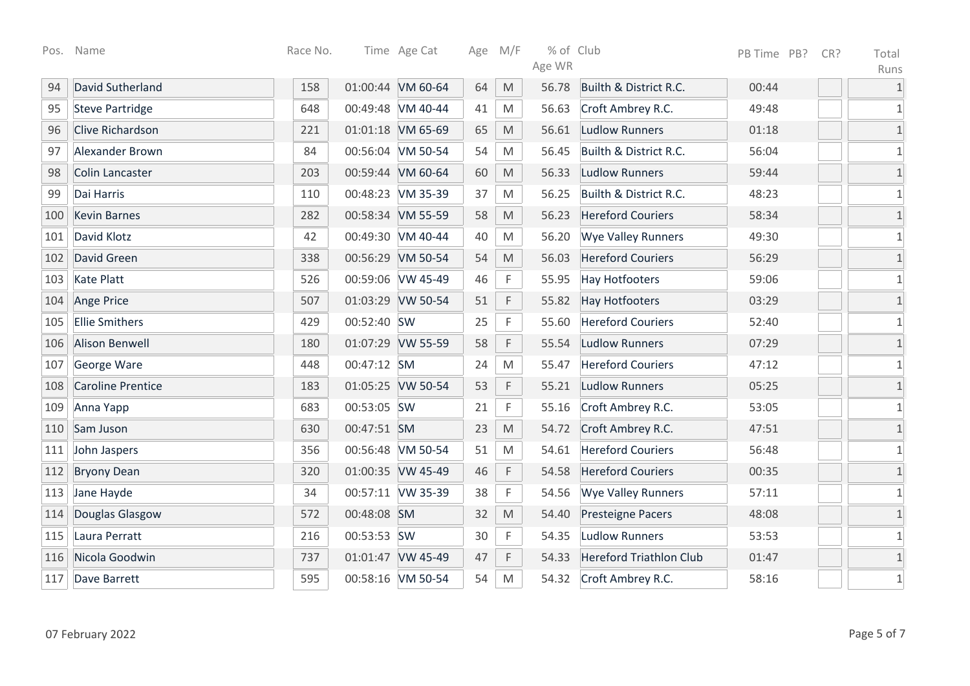| Pos. | Name                     | Race No. |             | Time Age Cat      | Age | M/F                                                                                                        | % of Club |                                | PB Time PB? | CR? | Total        |
|------|--------------------------|----------|-------------|-------------------|-----|------------------------------------------------------------------------------------------------------------|-----------|--------------------------------|-------------|-----|--------------|
|      |                          |          |             |                   |     |                                                                                                            | Age WR    |                                |             |     | Runs         |
| 94   | David Sutherland         | 158      |             | 01:00:44 VM 60-64 | 64  | M                                                                                                          | 56.78     | Builth & District R.C.         | 00:44       |     | $\mathbf{1}$ |
| 95   | <b>Steve Partridge</b>   | 648      |             | 00:49:48 VM 40-44 | 41  | M                                                                                                          | 56.63     | Croft Ambrey R.C.              | 49:48       |     | 1            |
| 96   | <b>Clive Richardson</b>  | 221      |             | 01:01:18 VM 65-69 | 65  | M                                                                                                          | 56.61     | <b>Ludlow Runners</b>          | 01:18       |     | $\mathbf{1}$ |
| 97   | Alexander Brown          | 84       |             | 00:56:04 VM 50-54 | 54  | M                                                                                                          | 56.45     | Builth & District R.C.         | 56:04       |     | 1            |
| 98   | Colin Lancaster          | 203      |             | 00:59:44 VM 60-64 | 60  | $\mathsf{M}% _{T}=\mathsf{M}_{T}\!\left( a,b\right) ,\ \mathsf{M}_{T}=\mathsf{M}_{T}\!\left( a,b\right) ,$ | 56.33     | Ludlow Runners                 | 59:44       |     | $\mathbf{1}$ |
| 99   | Dai Harris               | 110      |             | 00:48:23 VM 35-39 | 37  | M                                                                                                          | 56.25     | Builth & District R.C.         | 48:23       |     | $\mathbf{1}$ |
| 100  | <b>Kevin Barnes</b>      | 282      |             | 00:58:34 VM 55-59 | 58  | M                                                                                                          | 56.23     | <b>Hereford Couriers</b>       | 58:34       |     | $\mathbf{1}$ |
| 101  | David Klotz              | 42       |             | 00:49:30 VM 40-44 | 40  | M                                                                                                          | 56.20     | <b>Wye Valley Runners</b>      | 49:30       |     | $\mathbf{1}$ |
| 102  | David Green              | 338      |             | 00:56:29 VM 50-54 | 54  | $\mathsf{M}% _{T}=\mathsf{M}_{T}\!\left( a,b\right) ,\ \mathsf{M}_{T}=\mathsf{M}_{T}\!\left( a,b\right) ,$ | 56.03     | <b>Hereford Couriers</b>       | 56:29       |     | $\mathbf{1}$ |
| 103  | <b>Kate Platt</b>        | 526      |             | 00:59:06 VW 45-49 | 46  | $\mathsf F$                                                                                                | 55.95     | <b>Hay Hotfooters</b>          | 59:06       |     | $\mathbf 1$  |
| 104  | Ange Price               | 507      |             | 01:03:29 VW 50-54 | 51  | F                                                                                                          | 55.82     | <b>Hay Hotfooters</b>          | 03:29       |     | $1\,$        |
| 105  | <b>Ellie Smithers</b>    | 429      | 00:52:40 SW |                   | 25  | $\mathsf F$                                                                                                | 55.60     | <b>Hereford Couriers</b>       | 52:40       |     | $\mathbf{1}$ |
| 106  | <b>Alison Benwell</b>    | 180      |             | 01:07:29 VW 55-59 | 58  | $\mathsf F$                                                                                                | 55.54     | <b>Ludlow Runners</b>          | 07:29       |     | $1\,$        |
| 107  | George Ware              | 448      | 00:47:12 SM |                   | 24  | M                                                                                                          | 55.47     | <b>Hereford Couriers</b>       | 47:12       |     | $\mathbf{1}$ |
| 108  | <b>Caroline Prentice</b> | 183      |             | 01:05:25 VW 50-54 | 53  | F                                                                                                          | 55.21     | <b>Ludlow Runners</b>          | 05:25       |     | $\mathbf{1}$ |
| 109  | Anna Yapp                | 683      | 00:53:05 SW |                   | 21  | F                                                                                                          | 55.16     | Croft Ambrey R.C.              | 53:05       |     | 1            |
| 110  | Sam Juson                | 630      | 00:47:51 SM |                   | 23  | M                                                                                                          | 54.72     | Croft Ambrey R.C.              | 47:51       |     | $\mathbf{1}$ |
| 111  | John Jaspers             | 356      |             | 00:56:48 VM 50-54 | 51  | M                                                                                                          | 54.61     | <b>Hereford Couriers</b>       | 56:48       |     | $\mathbf{1}$ |
| 112  | <b>Bryony Dean</b>       | 320      |             | 01:00:35 VW 45-49 | 46  | $\mathsf F$                                                                                                | 54.58     | <b>Hereford Couriers</b>       | 00:35       |     | $\mathbf{1}$ |
| 113  | Jane Hayde               | 34       |             | 00:57:11 VW 35-39 | 38  | $\mathsf F$                                                                                                | 54.56     | <b>Wye Valley Runners</b>      | 57:11       |     | $\mathbf{1}$ |
| 114  | Douglas Glasgow          | 572      | 00:48:08 SM |                   | 32  | $\mathsf{M}% _{T}=\mathsf{M}_{T}\!\left( a,b\right) ,\ \mathsf{M}_{T}=\mathsf{M}_{T}\!\left( a,b\right) ,$ | 54.40     | <b>Presteigne Pacers</b>       | 48:08       |     | $\mathbf{1}$ |
| 115  | Laura Perratt            | 216      | 00:53:53 SW |                   | 30  | F                                                                                                          | 54.35     | <b>Ludlow Runners</b>          | 53:53       |     | $\mathbf{1}$ |
| 116  | Nicola Goodwin           | 737      |             | 01:01:47 VW 45-49 | 47  | F                                                                                                          | 54.33     | <b>Hereford Triathlon Club</b> | 01:47       |     | $1\,$        |
| 117  | Dave Barrett             | 595      |             | 00:58:16 VM 50-54 | 54  | ${\sf M}$                                                                                                  | 54.32     | Croft Ambrey R.C.              | 58:16       |     | $\mathbf{1}$ |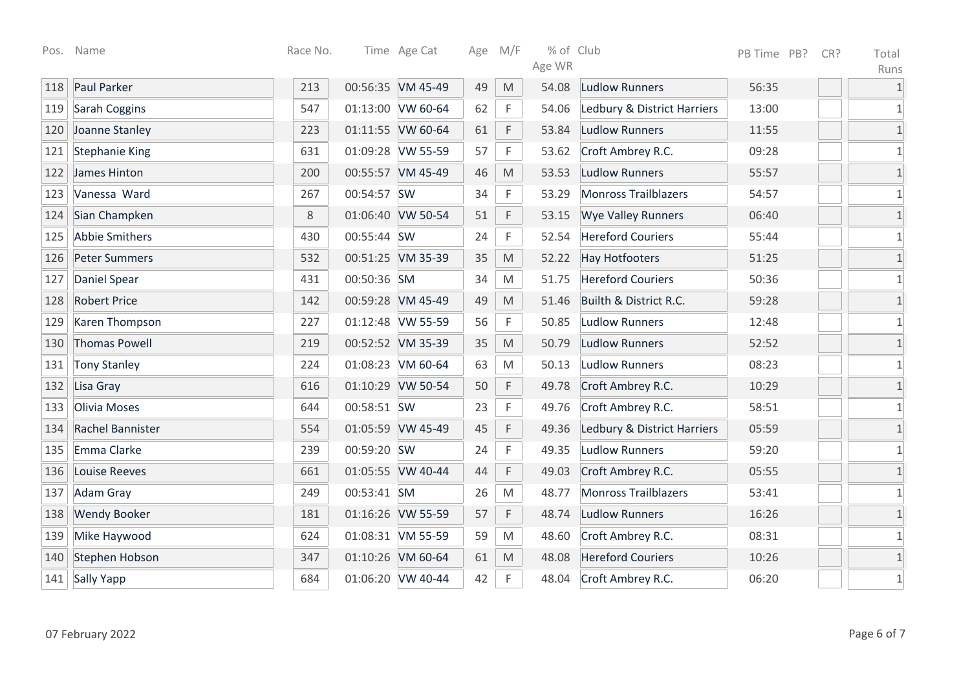| Pos. | Name                  | Race No. |             | Time Age Cat      | Age M/F |                                                                                                            | % of Club |                             | PB Time PB? | CR? | Total        |
|------|-----------------------|----------|-------------|-------------------|---------|------------------------------------------------------------------------------------------------------------|-----------|-----------------------------|-------------|-----|--------------|
|      |                       |          |             |                   |         |                                                                                                            | Age WR    |                             |             |     | Runs         |
| 118  | Paul Parker           | 213      |             | 00:56:35 VM 45-49 | 49      | M                                                                                                          | 54.08     | <b>Ludlow Runners</b>       | 56:35       |     | $\mathbf{1}$ |
| 119  | Sarah Coggins         | 547      |             | 01:13:00 VW 60-64 | 62      | F                                                                                                          | 54.06     | Ledbury & District Harriers | 13:00       |     | 1            |
| 120  | Joanne Stanley        | 223      |             | 01:11:55 VW 60-64 | 61      | F                                                                                                          | 53.84     | <b>Ludlow Runners</b>       | 11:55       |     | $\mathbf 1$  |
| 121  | <b>Stephanie King</b> | 631      |             | 01:09:28 VW 55-59 | 57      | F                                                                                                          | 53.62     | Croft Ambrey R.C.           | 09:28       |     | $1\,$        |
| 122  | James Hinton          | 200      |             | 00:55:57 VM 45-49 | 46      | M                                                                                                          | 53.53     | <b>Ludlow Runners</b>       | 55:57       |     | $\mathbf 1$  |
| 123  | Vanessa Ward          | 267      | 00:54:57 SW |                   | 34      | F                                                                                                          | 53.29     | <b>Monross Trailblazers</b> | 54:57       |     | $\mathbf 1$  |
| 124  | Sian Champken         | 8        |             | 01:06:40 VW 50-54 | 51      | F                                                                                                          | 53.15     | <b>Wye Valley Runners</b>   | 06:40       |     | $1\,$        |
| 125  | Abbie Smithers        | 430      | 00:55:44 SW |                   | 24      | F                                                                                                          | 52.54     | <b>Hereford Couriers</b>    | 55:44       |     | 1            |
| 126  | <b>Peter Summers</b>  | 532      |             | 00:51:25 VM 35-39 | 35      | M                                                                                                          | 52.22     | <b>Hay Hotfooters</b>       | 51:25       |     | $1\,$        |
| 127  | <b>Daniel Spear</b>   | 431      | 00:50:36 SM |                   | 34      | M                                                                                                          | 51.75     | <b>Hereford Couriers</b>    | 50:36       |     | $1\,$        |
| 128  | <b>Robert Price</b>   | 142      |             | 00:59:28 VM 45-49 | 49      | $\mathsf{M}% _{T}=\mathsf{M}_{T}\!\left( a,b\right) ,\ \mathsf{M}_{T}=\mathsf{M}_{T}\!\left( a,b\right) ,$ | 51.46     | Builth & District R.C.      | 59:28       |     | $\mathbf{1}$ |
| 129  | Karen Thompson        | 227      |             | 01:12:48 VW 55-59 | 56      | F                                                                                                          | 50.85     | <b>Ludlow Runners</b>       | 12:48       |     | $1\,$        |
| 130  | <b>Thomas Powell</b>  | 219      |             | 00:52:52 VM 35-39 | 35      | $\mathsf{M}% _{T}=\mathsf{M}_{T}\!\left( a,b\right) ,\ \mathsf{M}_{T}=\mathsf{M}_{T}\!\left( a,b\right) ,$ | 50.79     | <b>Ludlow Runners</b>       | 52:52       |     | $1\,$        |
| 131  | <b>Tony Stanley</b>   | 224      |             | 01:08:23 VM 60-64 | 63      | M                                                                                                          | 50.13     | <b>Ludlow Runners</b>       | 08:23       |     | $1\,$        |
| 132  | Lisa Gray             | 616      |             | 01:10:29 VW 50-54 | 50      | F                                                                                                          | 49.78     | Croft Ambrey R.C.           | 10:29       |     | $\mathbf 1$  |
| 133  | Olivia Moses          | 644      | 00:58:51 SW |                   | 23      | F                                                                                                          | 49.76     | Croft Ambrey R.C.           | 58:51       |     | $1\,$        |
| 134  | Rachel Bannister      | 554      |             | 01:05:59 VW 45-49 | 45      | $\mathsf F$                                                                                                | 49.36     | Ledbury & District Harriers | 05:59       |     | $\mathbf 1$  |
| 135  | Emma Clarke           | 239      | 00:59:20 SW |                   | 24      | F                                                                                                          | 49.35     | <b>Ludlow Runners</b>       | 59:20       |     | $\mathbf 1$  |
| 136  | Louise Reeves         | 661      |             | 01:05:55 VW 40-44 | 44      | F                                                                                                          | 49.03     | Croft Ambrey R.C.           | 05:55       |     | $\mathbf{1}$ |
| 137  | Adam Gray             | 249      | 00:53:41 SM |                   | 26      | M                                                                                                          | 48.77     | <b>Monross Trailblazers</b> | 53:41       |     | $\mathbf 1$  |
| 138  | <b>Wendy Booker</b>   | 181      |             | 01:16:26 VW 55-59 | 57      | F                                                                                                          | 48.74     | <b>Ludlow Runners</b>       | 16:26       |     | $\mathbf{1}$ |
| 139  | Mike Haywood          | 624      |             | 01:08:31 VM 55-59 | 59      | ${\sf M}$                                                                                                  | 48.60     | Croft Ambrey R.C.           | 08:31       |     | $1\,$        |
| 140  | Stephen Hobson        | 347      |             | 01:10:26 VM 60-64 | 61      | $\mathsf{M}% _{T}=\mathsf{M}_{T}\!\left( a,b\right) ,\ \mathsf{M}_{T}=\mathsf{M}_{T}\!\left( a,b\right) ,$ | 48.08     | <b>Hereford Couriers</b>    | 10:26       |     | $\mathbf{1}$ |
| 141  | Sally Yapp            | 684      |             | 01:06:20 VW 40-44 | 42      | F                                                                                                          | 48.04     | Croft Ambrey R.C.           | 06:20       |     | $1\,$        |